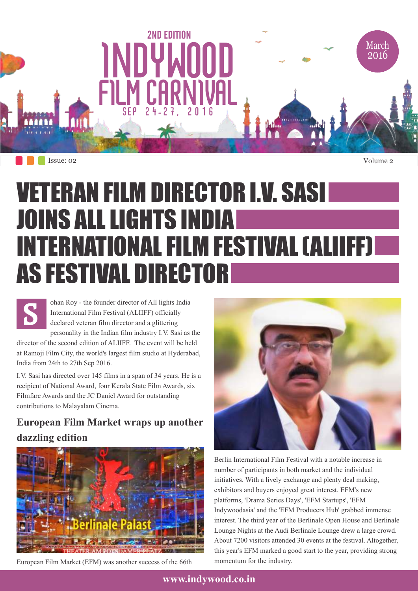

# VETERAN FILM DIRECTOR I.V. SASI JOINS ALL LIGHTS INDIA INTERNATIONAL FILM FESTIVAL (ALIIFF) AS FESTIVAL DIRECTOR

**S** ohan Roy - the founder director of All lights India International Film Festival (ALIIFF) officially declared veteran film director and a glittering personality in the Indian film industry I.V. Sasi as the

director of the second edition of ALIIFF. The event will be held at Ramoji Film City, the world's largest film studio at Hyderabad, India from 24th to 27th Sep 2016.

I.V. Sasi has directed over 145 films in a span of 34 years. He is a recipient of National Award, four Kerala State Film Awards, six Filmfare Awards and the JC Daniel Award for outstanding contributions to Malayalam Cinema.

## **European Film Market wraps up another dazzling edition**



European Film Market (EFM) was another success of the 66th



Berlin International Film Festival with a notable increase in number of participants in both market and the individual initiatives. With a lively exchange and plenty deal making, exhibitors and buyers enjoyed great interest. EFM's new platforms, 'Drama Series Days', 'EFM Startups', 'EFM Indywoodasia' and the 'EFM Producers Hub' grabbed immense interest. The third year of the Berlinale Open House and Berlinale Lounge Nights at the Audi Berlinale Lounge drew a large crowd. About 7200 visitors attended 30 events at the festival. Altogether, this year's EFM marked a good start to the year, providing strong momentum for the industry.